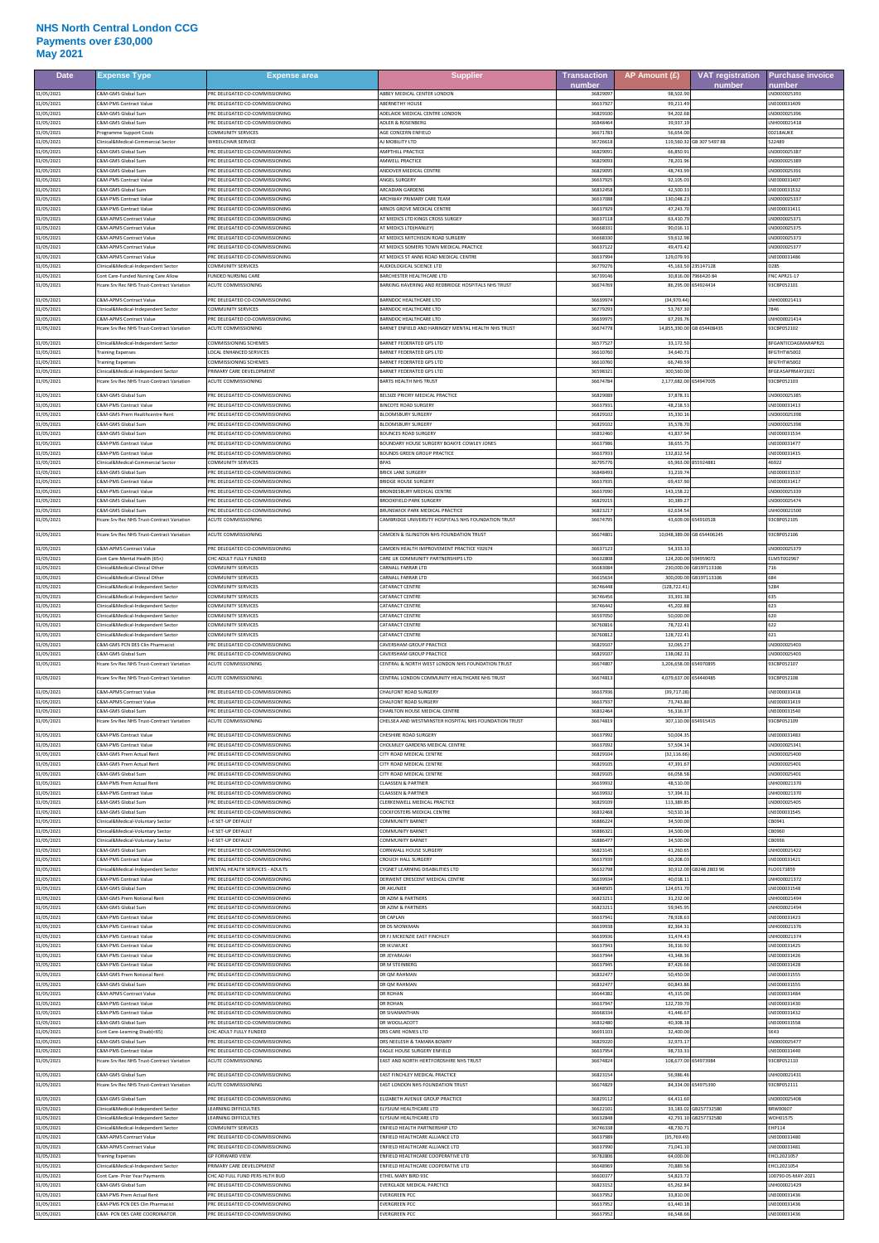## **NHS North Central London CCG Payments over £30,000 May 2021**

| <b>Date</b>              | Expense Type                                                                             | <b>Expense area</b>                                                    | <b>Supplier</b>                                                                               | <b>Transaction</b><br>number | AP Amount (£)             | <b>VAT registration</b><br>number | <b>Purchase invoice</b><br>number |
|--------------------------|------------------------------------------------------------------------------------------|------------------------------------------------------------------------|-----------------------------------------------------------------------------------------------|------------------------------|---------------------------|-----------------------------------|-----------------------------------|
| 31/05/2021               | <b>2&amp;M-GMS Global Sum</b>                                                            | PRC DELEGATED CO-COMMISSIONING                                         | ABBEY MEDICAL CENTER LONDON                                                                   | 3682909                      | 98,502.9                  |                                   | LND000025393                      |
| 31/05/2021               | &M-PMS Contract Value                                                                    | RC DELEGATED CO-COMMISSIONING                                          | <b>ABERNETHY HOUSE</b>                                                                        | 3663792                      | 99,211.4                  |                                   | NE000031409                       |
| 31/05/2021               | &M-GMS Global Sum                                                                        | RC DELEGATED CO-COMMISSIONING                                          | ADELAIDE MEDICAL CENTRE LONDON                                                                | 3682910                      | 94,202.6                  |                                   | LND000025396                      |
| 31/05/2021               | <b>&amp;M-GMS Global Sum</b>                                                             | <b>RC DELEGATED CO-COMMISSIONING</b>                                   | <b>IDI ER &amp; ROSENRERG</b>                                                                 | 3684846                      | 39,937.1                  |                                   | NH000021418                       |
| 31/05/2021               | rogramme Support Costs                                                                   | <b>OMMUNITY SERVICES</b>                                               | GE CONCERN ENFIELD                                                                            | 3667178                      | 56,654.0                  | GB 307 5497 88                    | 00218AUKE                         |
| 31/05/2021               | linical&Medical-Commercial Sector                                                        | <b><i>NHEELCHAIR SERVICE</i></b>                                       | <b>N MOBILITY LTD</b>                                                                         | 3672661                      | 119.560.32                |                                   | 522489                            |
| 31/05/2021               | <b>2&amp;M-GMS Global Sum</b><br><b>SM-GMS Global Sum</b>                                | RC DELEGATED CO-COMMISSIONING                                          | <b>AMPTHILL PRACTICE</b><br>MWELL PRACTICE                                                    | 3682909                      | 66,850.                   |                                   | ND000025387<br>ND00002538         |
| 31/05/2021<br>31/05/2021 | C&M-GMS Global Sum                                                                       | RC DELEGATED CO-COMMISSIONING<br><b>PRC DELEGATED CO-COMMISSIONING</b> | MOOVER MEDICAL CENTRE                                                                         | 3682909<br>3682909           | 78,201.<br>48,743.9       |                                   | LND000025391                      |
| 31/05/2021               | C&M-PMS Contract Value                                                                   | RC DELEGATED CO-COMMISSIONING                                          | ANGEL SURGER'                                                                                 | 3663792                      | 92,105.0                  |                                   | LNE000031407                      |
| 31/05/2021               | &M-GMS Global Sum                                                                        | RC DELEGATED CO-COMMISSIONING                                          | RCADIAN GARDENS                                                                               | 368324                       | 42,500.                   |                                   | NE000031532                       |
| 31/05/2021               | <b>SM-PMS Contract Value</b>                                                             | PRC DELEGATED CO-COMMISSIONING                                         | <b>ARCHWAY PRIMARY CARE TEAM</b>                                                              | 3663708                      | 130,048.2                 |                                   | LND000025337                      |
| 31/05/2021               | C&M-PMS Contract Value                                                                   | PRC DELEGATED CO-COMMISSIONING                                         | ARNOS GROVE MEDICAL CENTRE                                                                    | 3663792                      | 47,243.                   |                                   | LNE000031411                      |
| 31/05/2021               | &M-APMS Contract Value                                                                   | PRC DELEGATED CO-COMMISSIONING                                         | AT MEDICS LTD KINGS CROSS SURGE'                                                              | 366371                       | 63,410.                   |                                   | ND000025371                       |
| 31/05/2021               | <b>SM-APMS Contract Value</b>                                                            | PRC DELEGATED CO-COMMISSIONING                                         | AT MEDICS LTD(HANLEY)                                                                         | 3666833                      | 90.016.1                  |                                   | LND000025375                      |
| 31/05/2021               | C&M-APMS Contract Value                                                                  | <b>PRC DELEGATED CO-COMMISSIONING</b>                                  | AT MEDICS MITCHISON ROAD SURGERY                                                              | 3666833                      | 59,612.9                  |                                   | LND000025373                      |
| 31/05/2021               | &M-APMS Contract Value                                                                   | RC DELEGATED CO-COMMISSIONING                                          | T MEDICS SOMERS TOWN MEDICAL PRACTICE                                                         | 3663712                      | 49,473.                   |                                   | ND000025377                       |
| 31/05/2021               | <b>E&amp;M-APMS Contract Value</b>                                                       | RC DELEGATED CO-COMMISSIONING                                          | IT MEDICS ST ANNS ROAD MEDICAL CENTRE                                                         | 3663799                      | 129,079.9                 | 235147128                         | NE000031486                       |
| 31/05/2021               | Iinical&Medical-Independent Sector                                                       | OMMUNITY SERVICES                                                      | AUDIOLOGICAL SCIENCE LTD                                                                      | 3677927                      | 45,163.50                 |                                   | <b>D285</b>                       |
| 31/05/2021               | Cont Care-Funded Nursing Care Allow                                                      | UNDED NURSING CARE                                                     | <b>BARCHESTER HEALTHCARE LTD</b>                                                              | 3673914                      | 30,816.0                  | 7966420 84                        | NC APR21-17                       |
| 31/05/2021               | Icare Srv Rec NHS Trust-Contract Variation                                               | <b>ACUTE COMMISSIONING</b>                                             | <b>BARKING HAVERING AND REDBRIDGE HOSPITALS NHS TRUST</b>                                     | 3667476                      | 86,295.00                 | 554924414                         | 93CBP052101                       |
| 31/05/2021               | C&M-APMS Contract Value                                                                  | RC DELEGATED CO-COMMISSIONING                                          | BARNDOC HEALTHCARE LTD                                                                        | 3663997                      | (34,970.44                |                                   | LNH000021413                      |
| 31/05/2021<br>31/05/2021 | linical&Medical-Independent Sector<br><b>&amp;M-APMS Contract Value</b>                  | <b>OMMUNITY SERVICES</b><br>RC DELEGATED CO-COMMISSIONING              | ARNDOC HEALTHCARE LTD<br><b>BARNDOC HEALTHCARE LTD</b>                                        | 3677929<br>3663997           | 53,767.3<br>67.293.7      |                                   | LNH000021414                      |
| 31/05/2021               | Icare Srv Rec NHS Trust-Contract Variation                                               | <b>CUTE COMMISSIONING</b>                                              | ARNET ENFIELD AND HARINGEY MENTAL HEALTH NHS TRUST                                            | 3667477                      | 14,855,390.00             | GB 654408435                      | 93CBP052102                       |
| 31/05/2021               | Clinical&Medical-Independent Sector                                                      | OMMISSIONING SCHEMES                                                   | BARNET FEDERATED GPS LTD                                                                      | 3657752                      | 33,172.5                  |                                   | BFGANTICOAGMARAPR21               |
| 31/05/2021               | raining Expenses                                                                         | OCAL ENHANCED SERVICES                                                 | <b>BARNET FEDERATED GPS LTD</b>                                                               | 3661076                      | 34,640.7                  |                                   | BFGTHTWS002                       |
| 31/05/2021               | raining Expenses                                                                         | <b>OMMISSIONING SCHEMES</b>                                            | ARNET FEDERATED GPS LTD                                                                       | 366107                       | 66,749.5                  |                                   | FGTHTWS00                         |
| 31/05/2021               | Iinical&Medical-Independent Sector                                                       | RIMARY CARE DEVELOPMENT                                                | ARNET FEDERATED GPS LTD                                                                       | 3659832                      | 300,560.0                 |                                   | BFGEASAPRMAY2021                  |
| 31/05/2021               | Icare Srv Rec NHS Trust-Contract Variation                                               | <b>CUTE COMMISSIONING</b>                                              | ARTS HEALTH NHS TRUST                                                                         | 3667478                      | 2,177,682.00              | 654947005                         | 93CBP052103                       |
| 31/05/2021               | C&M-GMS Global Sum                                                                       | PRC DELEGATED CO-COMMISSIONING                                         | BELSIZE PRIORY MEDICAL PRACTICE                                                               | 3682908                      | 37,878.3                  |                                   | LND000025385                      |
| 31/05/2021               | C&M-PMS Contract Value                                                                   | PRC DELEGATED CO-COMMISSIONING                                         | <b>BINCOTE ROAD SURGERY</b>                                                                   | 3663793                      | 48,218.5                  |                                   | LNE000031413                      |
| 31/05/2021               | <b>C&amp;M-GMS Prem Healthcentre Rent</b>                                                | PRC DELEGATED CO-COMMISSIONING                                         | <b>BLOOMSBURY SURGERY</b>                                                                     | 3682910                      | 35,330.1                  |                                   | LND000025398                      |
| 31/05/2021               | &M-GMS Global Sum                                                                        | RC DELEGATED CO-COMMISSIONING                                          | <b>ILOOMSBURY SURGER</b>                                                                      | 3682910                      | 35,578.7                  |                                   | ND00002539                        |
| 31/05/2021               | &M-GMS Global Sum                                                                        | RC DELEGATED CO-COMMISSIONING                                          | OUNCES ROAD SURGERY                                                                           | 3683246                      | 41,837.                   |                                   | NE000031534                       |
| 31/05/2021               | &M-PMS Contract Value                                                                    | RC DELEGATED CO-COMMISSIONING                                          | OUNDARY HOUSE SURGERY BOAKYE COWLEY JONES                                                     | 3663798                      | 38.655.                   |                                   | LNE000031477                      |
| 31/05/2021               | S&M-PMS Contract Value                                                                   | RC DELEGATED CO-COMMISSIONING                                          | <b>BOUNDS GREEN GROUP PRACTICE</b>                                                            | 366379                       | 132,812.                  | 855924881                         | NE000031415                       |
| 31/05/2021               | Iinical&Medical-Commercial Sector                                                        | OMMUNITY SERVICES                                                      | <b>BPAS</b>                                                                                   | 367957                       | 65,963.0                  |                                   | 16922                             |
| 31/05/2021               | <b>RM-GMS Global Sum</b>                                                                 | PRC DELEGATED CO-COMMISSIONING                                         | <b>BRICK LANE SURGERY</b>                                                                     | 3684849                      | 31,219.7                  |                                   | LNE000031537                      |
| 31/05/2021               | S&M-PMS Contract Value                                                                   | RC DELEGATED CO-COMMISSIONING                                          | <b>SRIDGE HOUSE SURGERY</b>                                                                   | 3663793                      | 69,437.9                  |                                   | NE00003141                        |
| 31/05/2021               | <b>E&amp;M-PMS Contract Value</b>                                                        | RC DELEGATED CO-COMMISSIONING                                          | RONDESBURY MEDICAL CENTRE                                                                     | 3663709                      | 143,158.2                 |                                   | ND000025339                       |
| 31/05/2021               | &M-GMS Global Sum                                                                        | RC DELEGATED CO-COMMISSIONING                                          | ROOKFIELD PARK SURGERY                                                                        | 3682921                      | 30.389.2                  |                                   | LND000025474                      |
| 31/05/2021               | <b>2&amp;M-GMS Global Sum</b>                                                            | RC DELEGATED CO-COMMISSIONING                                          | <b>BRUNSWICK PARK MEDICAL PRACTICE</b>                                                        | 3682321                      | 62,634.5                  |                                   | NH000021500                       |
| 31/05/2021               | Icare Srv Rec NHS Trust-Contract Variation<br>Hcare Srv Rec NHS Trust-Contract Variation | <b>ACUTE COMMISSIONING</b><br>ACUTE COMMISSIONING                      | AMBRIDGE UNIVERSITY HOSPITALS NHS FOUNDATION TRUST<br>CAMDEN & ISLINGTON NHS FOUNDATION TRUST | 3667479<br>3667480           | 43,609.00                 | 654910528<br>GB 654406245         | 93CBP052105<br>93CBP052106        |
| 31/05/2021<br>31/05/2021 | <b>E&amp;M-APMS Contract Value</b>                                                       | RC DELEGATED CO-COMMISSIONING                                          | AMDEN HEALTH IMPROVEMENT PRACTICE Y02674                                                      | 3663712                      | 10,048,389.00<br>54,333.3 |                                   | ND000025379                       |
| 31/05/2021               | Ont Care-Mental Health (65+)                                                             | HC ADULT FULLY FUNDED                                                  | ARE UK COMMUNITY PARTNERSHIPS LTD                                                             | 3663280                      | 124,200.00                | 594959072                         | ELMST002967                       |
| 31/05/2021               | linical&Medical-Clinical Other                                                           | OMMUNITY SERVICES                                                      | ARNALL FARRAR LTD                                                                             | 3668308                      | 230,000.0                 | GB197113106                       | 716                               |
| 31/05/2021               | linical&Medical-Clinical Other                                                           | OMMUNITY SERVICES                                                      | ARNALL FARRAR LTD                                                                             | 3661563                      | 300,000.0                 | GB197113106                       | 684                               |
| 31/05/2021               | linical&Medical-Independent Sector                                                       | COMMUNITY SERVICES                                                     | CATARACT CENTRE                                                                               | 3674644                      | (128.722.4)               |                                   | 5284                              |
| 31/05/2021               | Clinical&Medical-Independent Sector                                                      | OMMUNITY SERVICES                                                      | CATARACT CENTRE                                                                               | 3674645                      | 33,391.3                  |                                   | 635                               |
| 31/05/2021               | linical&Medical-Independent Secto                                                        | OMMUNITY SERVICES                                                      | <b>ATARACT CENTR</b>                                                                          | 367464                       | 45,202.8                  |                                   | 623                               |
| 31/05/2021               | linical&Medical-Independent Sector                                                       | COMMUNITY SERVICES                                                     | <b>CATARACT CENTRE</b>                                                                        | 3659705                      | 50,000.0                  |                                   | 620                               |
| 31/05/2021               | Ilinical&Medical-Independent Secto                                                       | OMMUNITY SERVICES                                                      | <b>CATARACT CENTRE</b>                                                                        | 3676081                      | 78,722.4                  |                                   | 622                               |
| 31/05/2021               | linical&Medical-Independent Secto                                                        | OMMUNITY SERVICES                                                      | CATARACT CENTRI                                                                               | 3676081                      | 128,722.                  |                                   | 621                               |
| 31/05/2021               | C&M-GMS PCN DES Clin Pharmacist                                                          | PRC DELEGATED CO-COMMISSIONING                                         | CAVERSHAM GROUP PRACTICE                                                                      | 3682910                      | 32,065.2                  |                                   | LND000025403                      |
| 31/05/2021               | <b>RM-GMS Global Sum</b>                                                                 | PRC DELEGATED CO-COMMISSIONING                                         | <b>CAVERSHAM GROUP PRACTICE</b>                                                               | 3682910                      | 138,082.3                 |                                   | ND000025403                       |
| 31/05/2021               | care Srv Rec NHS Trust-Contract Variation                                                | CUTE COMMISSIONING                                                     | ENTRAL & NORTH WEST LONDON NHS FOUNDATION TRUST                                               | 366748                       | 3,206,658.0               | 654970895                         | 33CBP052107                       |
| 31/05/2021               | <b>Icare Srv Rec NHS Trust-Contract Variation</b>                                        | <b>ACUTE COMMISSIONING</b>                                             | CENTRAL LONDON COMMUNITY HEALTHCARE NHS TRUST                                                 | 3667481                      | 4,079,637.00              | 654440485                         | 93CBP052108                       |
| 31/05/2021               | C&M-APMS Contract Value                                                                  | PRC DELEGATED CO-COMMISSIONING                                         | CHALFONT ROAD SURGERY                                                                         | 3663793                      | (39, 717.28               |                                   | LNE000031418                      |
| 31/05/2021               | C&M-APMS Contract Value                                                                  | RC DELEGATED CO-COMMISSIONING                                          | <b>CHALFONT ROAD SURGERY</b>                                                                  | 3663793                      | 73,743.8                  |                                   | LNE000031419                      |
| 31/05/2021               | <b>SM-GMS Global Sum</b>                                                                 | PRC DELEGATED CO-COMMISSIONING                                         | <b>CHARLTON HOUSE MEDICAL CENTRE</b>                                                          | 3683246                      | 56.316.3                  |                                   | LNE000031540                      |
| 31/05/2021               | care Srv Rec NHS Trust-Contract Variation                                                | CUTE COMMISSIONING                                                     | HELSEA AND WESTMINSTER HOSPITAL NHS FOUNDATION TRUST                                          | 3667481                      | 307,110.00                | 654915415                         | 93CBP052109                       |
| 31/05/2021               | &M-PMS Contract Value                                                                    | RC DELEGATED CO-COMMISSIONING                                          | HESHIRE ROAD SURGERY                                                                          | 3663799                      | 50.004.3                  |                                   | LNE000031483                      |
| 31/05/2021               | C&M-PMS Contract Value                                                                   | PRC DELEGATED CO-COMMISSIONING                                         | CHOLMLEY GARDENS MEDICAL CENTRE                                                               | 3663709                      | 57,504.1                  |                                   | LND000025341                      |
| 31/05/2021               | <b>E&amp;M-GMS Prem Actual Rent</b>                                                      | PRC DELEGATED CO-COMMISSIONING                                         | CITY ROAD MEDICAL CENTRE                                                                      | 3682910                      | (32, 116.6)               |                                   | ND000025400                       |
| 31/05/2021               | C&M-GMS Prem Actual Rent                                                                 | PRC DELEGATED CO-COMMISSIONING                                         | CITY ROAD MEDICAL CENTRE                                                                      | 3682910                      | 47,391.6                  |                                   | LND000025401                      |
| 31/05/2021               | C&M-GMS Global Sum                                                                       | PRC DELEGATED CO-COMMISSIONING                                         | CITY ROAD MEDICAL CENTRE                                                                      | 3682910                      | 66,058.5                  |                                   | LND000025401                      |
| 31/05/2021               | <b>E&amp;M-PMS Prem Actual Rent</b>                                                      | PRC DELEGATED CO-COMMISSIONING                                         | <b>LIAASSEN &amp; PARTNER</b>                                                                 | 3663993                      | 48,510.0                  |                                   | NH000021370                       |
| 31/05/2021               | C&M-PMS Contract Value                                                                   | RC DELEGATED CO-COMMISSIONING                                          | <b>CLAASSEN &amp; PARTNER</b>                                                                 | 3663993                      | 57,394.3                  |                                   | LNH000021370                      |
| 31/05/2021               | C&M-GMS Global Sum                                                                       | PRC DELEGATED CO-COMMISSIONING                                         | CLERKENWELL MEDICAL PRACTICE                                                                  | 3682910                      | 113,389.8                 |                                   | LND000025405                      |
| 31/05/2021               | C&M-GMS Global Sum                                                                       | PRC DELEGATED CO-COMMISSIONING                                         | <b>COCKFOSTERS MEDICAL CENTRE</b>                                                             | 3683246                      | 50,510.1                  |                                   | LNE000031545                      |
| 31/05/2021               | Clinical&Medical-Voluntary Sector                                                        | <b>HE SET-UP DEFAULT</b>                                               | COMMUNITY BARNET                                                                              | 3688622                      | 34,500.0                  |                                   | CB0941                            |
| 31/05/2021               | Iinical&Medical-Voluntary Sector                                                         | <b>HE SET-UP DEFAULT</b>                                               | <b>COMMUNITY BARNET</b>                                                                       | 3688632                      | 34,500.0                  |                                   | CB0960                            |
| 31/05/2021               | inical&Medical-Voluntary Sector                                                          | +E SET-UP DEFAULT                                                      | OMMUNITY BARNET                                                                               | 3688647                      | 34,500.0                  |                                   | EB0936                            |
| 31/05/2021               | <b>E&amp;M-GMS Global Sum</b>                                                            | RC DELEGATED CO-COMMISSIONING                                          | ORNWALL HOUSE SURGERY                                                                         | 3682314                      | 41,260.6                  |                                   | NH000021422                       |
| 31/05/2021               | <b>&amp;M-PMS Contract Value</b>                                                         | RC DELEGATED CO-COMMISSIONING                                          | ROUCH HALL SURGERY                                                                            | 3663793                      | 60,208.0                  | GB248 2803 96                     | LNE000031421                      |
| 31/05/2021               | linical&Medical-Independent Secto                                                        | <b>MENTAL HEALTH SERVICES - ADULTS</b>                                 | YGNET LEARNING DISABILITIES LTD                                                               | 3663279                      | 30,912.00                 |                                   | LO0173859                         |
| 31/05/2021               | C&M-PMS Contract Value                                                                   | RC DELEGATED CO-COMMISSIONING                                          | DERWENT CRESCENT MEDICAL CENTRE                                                               | 3663993                      | 40,018.1                  |                                   | NH000021372                       |
| 31/05/2021               | C&M-GMS Global Sum                                                                       | PRC DELEGATED CO-COMMISSIONING                                         | <b>DR AKUNJEE</b>                                                                             | 3684850                      | 124,651.7                 |                                   | LNE000031548                      |
| 31/05/2021               | C&M-GMS Prem Notional Rent                                                               | PRC DELEGATED CO-COMMISSIONING                                         | DR AZIM & PARTNERS                                                                            | 3682321                      | 31,232.0                  |                                   | NH000021494                       |
| 31/05/2021               | <b>E&amp;M-GMS Global Sum</b>                                                            | RC DELEGATED CO-COMMISSIONING                                          | OR AZIM & PARTNERS                                                                            | 3682321                      | 59,945.9                  |                                   | LNH000021494                      |
| 31/05/2021               | <b>E&amp;M-PMS Contract Value</b>                                                        | PRC DELEGATED CO-COMMISSIONING                                         | DR CAPLAN                                                                                     | 3663794                      | 78,928.6                  |                                   | LNE000031423                      |
| 31/05/2021               | C&M-PMS Contract Value                                                                   | PRC DELEGATED CO-COMMISSIONING                                         | DR DS MONKMAN                                                                                 | 3663993                      | 82,364.3                  |                                   | LNH000021376                      |
| 31/05/2021               | <b>E&amp;M-PMS Contract Value</b>                                                        | RC DELEGATED CO-COMMISSIONING                                          | DR FJ MCKENZIE EAST FINCHLEY                                                                  | 3663993                      | 31,474.4                  |                                   | NH000021374                       |
| 31/05/2021               | C&M-PMS Contract Value                                                                   | PRC DELEGATED CO-COMMISSIONING                                         | <b>DR IKUWUKE</b>                                                                             | 3663794                      | 36,316.9                  |                                   | LNE000031425                      |
| 31/05/2021               | C&M-PMS Contract Value                                                                   | PRC DELEGATED CO-COMMISSIONING                                         | DR JEYARAJAH                                                                                  | 3663794                      | 43,348.3                  |                                   | NE000031426                       |
| 31/05/2021               | <b>E&amp;M-PMS Contract Value</b>                                                        | RC DELEGATED CO-COMMISSIONING                                          | OR M STEINBERG                                                                                | 3663794                      | 87,426.6                  |                                   | NE000031428                       |
| 31/05/2021               | S&M-GMS Prem Notional Rent                                                               | PRC DELEGATED CO-COMMISSIONING                                         | DR OM RAHMAN                                                                                  | 3683247                      | 50,450.0                  |                                   | LNE000031555                      |
| 31/05/2021               | C&M-GMS Global Sum                                                                       | RC DELEGATED CO-COMMISSIONING                                          | DR QM RAHMAN                                                                                  | 3683247                      | 60,843.8                  |                                   | LNE000031555                      |
| 31/05/2021               | <b>E&amp;M-APMS Contract Value</b>                                                       | PRC DELEGATED CO-COMMISSIONING                                         | <b>DR ROHAN</b>                                                                               | 3664438                      | 45,315.0                  |                                   | NE000031484                       |
| 31/05/2021               | C&M-PMS Contract Value                                                                   | PRC DELEGATED CO-COMMISSIONING                                         | <b>DR ROHAN</b>                                                                               | 3663794                      | 122,739.7                 |                                   | LNE000031430                      |
| 31/05/2021               | C&M-PMS Contract Value                                                                   | PRC DELEGATED CO-COMMISSIONING                                         | DR SIVANANTHAN                                                                                | 3666833                      | 41,446.6                  |                                   | NE000031432                       |
| 31/05/2021               | &M-GMS Global Sun                                                                        | RC DELEGATED CO-COMMISSIONING                                          | R WOOLLACOTT                                                                                  | 3683248                      | 40,308.1                  |                                   | NE000031558                       |
| 31/05/2021               | Cont Care-Learning Disab(<65)                                                            | CHC ADULT FULLY FUNDED                                                 | DRS CARE HOMES LTD                                                                            | 3669110                      | 32,400.0                  |                                   | SK43                              |
| 31/05/2021               | C&M-GMS Global Sum<br>S&M-PMS Contract Value                                             | PRC DELEGATED CO-COMMISSIONING<br>PRC DELEGATED CO-COMMISSIONING       | DRS NEELESH & TAMARA BOWRY<br>EAGLE HOUSE SURGERY ENFIELD                                     | 3682922<br>366379            | 32,973.1<br>98,733.       |                                   | LND000025477<br>NE000031440       |
| 31/05/2021<br>31/05/2021 | Hcare Srv Rec NHS Trust-Contract Variation                                               | <b>ACUTE COMMISSIONING</b>                                             | EAST AND NORTH HERTFORDSHIRE NHS TRUST                                                        | 3667482                      | 108,677.00                | 654973984                         | 93CBP052110                       |
| 31/05/2021               | C&M-GMS Global Sum                                                                       | PRC DELEGATED CO-COMMISSIONING                                         | EAST FINCHLEY MEDICAL PRACTICE                                                                | 3682315                      | 56,986.4                  | 654975390                         | LNH000021431                      |
| 31/05/2021               | Icare Srv Rec NHS Trust-Contract Variation                                               | <b>ACUTE COMMISSIONING</b>                                             | <b>EAST LONDON NHS FOUNDATION TRUST</b>                                                       | 3667482                      | 84,334.00                 |                                   | 93CBP052111                       |
| 31/05/2021               | C&M-GMS Global Sum                                                                       | PRC DELEGATED CO-COMMISSIONING                                         | ELIZABETH AVENUE GROUP PRACTICE                                                               | 3682911                      | 64,411.6                  |                                   | LND000025408                      |
| 31/05/2021               | Clinical&Medical-Independent Secto                                                       | <b>EARNING DIFFICULTIES</b>                                            | ELYSIUM HEALTHCARE LTD                                                                        | 3662210                      | 33,183.02                 | GB257732580                       | 3RW00607                          |
| 31/05/2021               | Clinical&Medical-Independent Secto                                                       | <b>EARNING DIFFICULTIES</b>                                            | ELYSIUM HEALTHCARE LTD                                                                        | 3663284                      | 42,791.10                 | GB257732580                       | WDH01575                          |
| 31/05/2021               | Clinical&Medical-Independent Sector                                                      | COMMUNITY SERVICES                                                     | ENFIELD HEALTH PARTNERSHIP LTD                                                                | 3674633                      | 48.730.7                  |                                   | EHP114                            |
| 31/05/2021               | <b>SM-APMS Contract Value</b>                                                            | PRC DELEGATED CO-COMMISSIONING                                         | INFIELD HEALTHCARE ALLIANCE LTD                                                               | 366379                       | (35, 769.49)              |                                   | NE00003148                        |
| 31/05/2021               | C&M-APMS Contract Value                                                                  | PRC DELEGATED CO-COMMISSIONING                                         | NFIELD HEALTHCARE ALLIANCE LTD                                                                | 3663799                      | 71,041.10                 |                                   | LNE000031481                      |
| 31/05/2021               | <b>Training Expenses</b>                                                                 | <b>SP FORWARD VIEW</b>                                                 | ENFIELD HEALTHCARE COOPERATIVE LTD                                                            | 3678280                      | 64,000.0                  |                                   | EHCL2021057                       |
| 31/05/2021               | Clinical&Medical-Independent Sector                                                      | <b>PRIMARY CARE DEVELOPMENT</b>                                        | ENFIELD HEALTHCARE COOPERATIVE LTD                                                            | 3664896                      | 70,889.5                  |                                   | EHCL2021054                       |
| 31/05/2021               | Cont Care- Prior Year Payments                                                           | CHC AD FULL FUND PERS HLTH BUD                                         | ETHEL MARY BIRD 93C                                                                           | 366003                       | 54,823.7                  |                                   | 100790-05-MAY-2021                |
| 31/05/2021               | C&M-GMS Global Sum                                                                       | PRC DELEGATED CO-COMMISSIONING                                         | EVERGLADE MEDICAL PARCTICE                                                                    | 3682315                      | 65,262.8                  |                                   | LNH000021429                      |
| 31/05/2021               | C&M-PMS Prem Actual Rent                                                                 | PRC DELEGATED CO-COMMISSIONING                                         | <b>EVERGREEN PCC</b>                                                                          | 3663795                      | 33,810.0                  |                                   | LNE000031436                      |

31/05/2021 C&M-PMS PCN DES Clin Pharmacist PRC DELEGATED CO-COMMISSIONING EVERGREEN PCC POSTAGE PRODUSTABLE DESCRIPTION DESCRIPTION DESCRIPTION DESCRIPTION DESCRIPTION DESCRIPTION DESCRIPTION DESCRIPTION DESCRIPTION DESCRI 31/05/2021 C&M-PMS PCN DES CARE CO-COMMISSIONING EVERGREEN PCC COMMISSIONING EVERGREEN PCC COMMISSIONING EVERGREEN PCC COMMISSIONING EVERGREEN PCC COMMISSIONING EVERGREEN PCC COMMISSIONING EVERGREEN PCC COMMISSIONING EVERG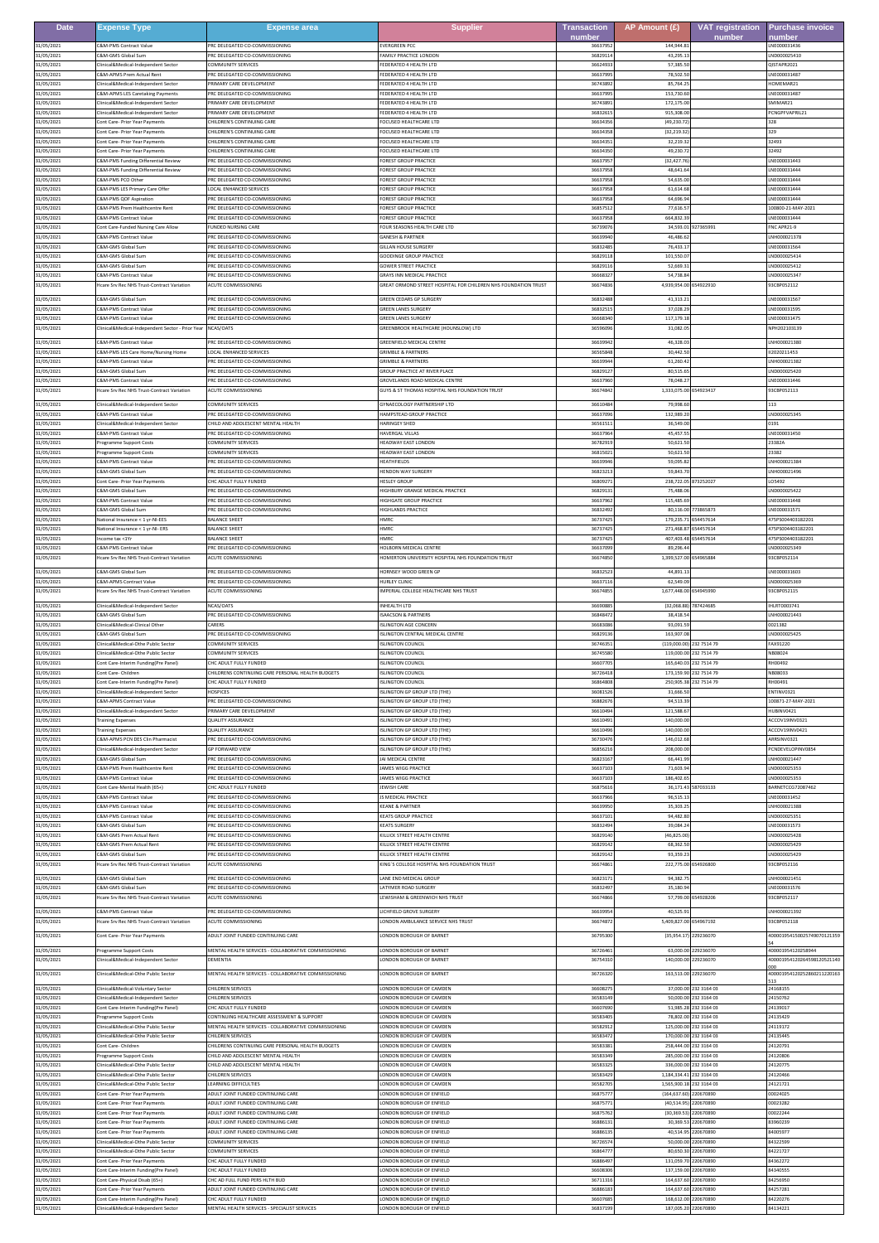| <b>Date</b>              | <b>Expense Type</b>                                                                  | <b>Expense area</b>                                                                    | <b>Supplier</b>                                                                          | <b>Transaction</b> | AP Amount (£)                            | <b>VAT registration</b>          | <b>Purchase invoice</b>                           |
|--------------------------|--------------------------------------------------------------------------------------|----------------------------------------------------------------------------------------|------------------------------------------------------------------------------------------|--------------------|------------------------------------------|----------------------------------|---------------------------------------------------|
| 31/05/2021               | C&M-PMS Contract Valu                                                                | PRC DELEGATED CO-COMMISSIONING                                                         | <b>EVERGREEN PCC</b>                                                                     | number<br>366379   | 144,944.8                                | number                           | number<br>NE00003143                              |
| 31/05/2021<br>31/05/2021 | <b>E&amp;M-GMS Global Sum</b><br>linical&Medical-Independent Sector                  | RC DELEGATED CO-COMMISSIONING<br>COMMUNITY SERVICES                                    | AMILY PRACTICE LONDON                                                                    | 368291<br>3662493  | 43,295.                                  |                                  | ND000025410                                       |
| 31/05/2021               | <b>E&amp;M-APMS Prem Actual Ren</b>                                                  | RC DELEGATED CO-COMMISSIONING                                                          | FEDERATED 4 HEALTH LTD<br>EDERATED 4 HEALTH LTD                                          | 366379             | 57,385.5<br>78,502.5                     |                                  | QISTAPR2021<br>NE000031487                        |
| 31/05/2021               | inical&Medical-Independent Secto                                                     | RIMARY CARE DEVELOPMENT<br>PRC DELEGATED CO-COMMISSIONING                              | EDERATED 4 HEALTH LTD<br>FEDERATED 4 HEALTH LTD                                          | 367438<br>366379   | 85,764.2<br>153,730.6                    |                                  | IOMEMAR21<br>LNE000031487                         |
| 31/05/2021<br>31/05/2021 | <b>E&amp;M-APMS LES Caretaking Payments</b><br>Clinical&Medical-Independent Secto    | RIMARY CARE DEVELOPMENT                                                                | FEDERATED 4 HEALTH LTD                                                                   | 367438             | 172,175.0                                |                                  | MIMAR21                                           |
| 31/05/2021<br>31/05/2021 | Clinical&Medical-Independent Sector<br>ont Care- Prior Year Payments                 | PRIMARY CARE DEVELOPMENT<br>"HILDREN'S CONTINUING CARE                                 | FEDERATED 4 HEALTH LTD<br>FOCUSED HEALTHCARE LTD                                         | 368326<br>3663435  | 915,308.0<br>(49.230.72                  |                                  | PCNGPFVAPRIL21<br>328                             |
| 31/05/2021               | ont Care- Prior Year Payments                                                        | HILDREN'S CONTINUING CARE                                                              | OCUSED HEALTHCARE LTD                                                                    | 366343             | (32, 219.3)                              |                                  | 329                                               |
| 31/05/2021<br>31/05/2021 | ont Care- Prior Year Payments<br>Cont Care- Prior Year Payments                      | HILDREN'S CONTINUING CARE<br>HILDREN'S CONTINUING CARE                                 | OCUSED HEALTHCARE LTD<br>OCUSED HEALTHCARE LTD                                           | 3663435<br>366343  | 32,219.3<br>49.230.                      |                                  | 32493<br>32492                                    |
| 31/05/2021<br>31/05/2021 | <b>E&amp;M-PMS Funding Differential Review</b><br>SM-PMS Funding Differential Review | RC DELEGATED CO-COMMISSIONING<br>RC DELEGATED CO-COMMISSIONING                         | OREST GROUP PRACTICE<br>OREST GROUP PRACTICE                                             | 366379<br>3663795  | (32, 427.<br>48,641.6                    |                                  | NE000031443<br>LNE000031444                       |
| 31/05/2021               | C&M-PMS PCO Othe                                                                     | PRC DELEGATED CO-COMMISSIONING                                                         | OREST GROUP PRACTICE                                                                     | 366379             | 54,635.0                                 |                                  | LNE000031444                                      |
| 31/05/2021<br>31/05/2021 | C&M-PMS LES Primary Care Offer<br>&M-PMS QOF Aspiration                              | OCAL ENHANCED SERVICES<br>PRC DELEGATED CO-COMMISSIONING                               | OREST GROUP PRACTICE<br>OREST GROUP PRACTICE                                             | 366379<br>3663795  | 61,614.6<br>64,696.9                     |                                  | NE000031444<br>NE000031444                        |
| 31/05/2021               | <b>SM-PMS Prem Healthcentre Rent</b>                                                 | PRC DELEGATED CO-COMMISSIONING                                                         | OREST GROUP PRACTICE                                                                     | 3685751            | 77.616.5                                 |                                  | 100800-21-MAY-2021                                |
| 31/05/2021<br>31/05/2021 | C&M-PMS Contract Value<br>Cont Care-Funded Nursing Care Allow                        | PRC DELEGATED CO-COMMISSIONING<br>UNDED NURSING CARE                                   | FOREST GROUP PRACTICE<br>FOUR SEASONS HEALTH CARE LTD                                    | 366379<br>367390   | 664,832.3<br>34,593.01                   | 327365991                        | NE000031444<br>NC APR21-9                         |
| 31/05/2021               | C&M-PMS Contract Value<br><b>SM-GMS Global Sum</b>                                   | PRC DELEGATED CO-COMMISSIONING                                                         | <b>GANESH &amp; PARTNER</b>                                                              | 366399<br>3683248  | 46,486.6                                 |                                  | NH000021378                                       |
| 31/05/2021<br>31/05/2021 | &M-GMS Global Sum                                                                    | RC DELEGATED CO-COMMISSIONING<br>RC DELEGATED CO-COMMISSIONING                         | <b>SILLAN HOUSE SURGERY</b><br>OODINGE GROUP PRACTICI                                    | 368291             | 76,433.1<br>101,550.                     |                                  | NE000031564<br>ND000025414                        |
| 31/05/2021<br>31/05/2021 | &M-GMS Global Sum<br>S&M-PMS Contract Value                                          | RC DELEGATED CO-COMMISSIONING<br>RC DELEGATED CO-COMMISSIONING                         | <b>SOWER STREET PRACTICE</b><br><b>SRAYS INN MEDICAL PRACTICE</b>                        | 3682911<br>366683  | 52.669.3<br>54,738.8                     |                                  | ND000025412<br>ND000025347                        |
| 31/05/2021               | Icare Srv Rec NHS Trust-Contract Variation                                           | <b>ACUTE COMMISSIONING</b>                                                             | REAT ORMOND STREET HOSPITAL FOR CHILDREN NHS FOUNDATION TRUS                             | 366748             | 4,939,954.00                             | 654922910                        | 33CBP052112                                       |
| 31/05/2021               | C&M-GMS Global Sum                                                                   | PRC DELEGATED CO-COMMISSIONING                                                         | <b>GREEN CEDARS GP SURGERY</b>                                                           | 3683248            | 41.313.2                                 |                                  | LNE000031567                                      |
| 31/05/2021<br>31/05/2021 | <b>&amp;M-PMS Contract Value</b><br>&M-PMS Contract Value                            | RC DELEGATED CO-COMMISSIONING<br>RC DELEGATED CO-COMMISSIONING                         | <b>SREEN LANES SURGER</b><br>REEN LANES SURGERY                                          | 368325<br>366683   | 37,028.2<br>117,179.1                    |                                  | NE000031595<br>NE000031475                        |
| 31/05/2021               | inical&Medical-Independent Sector - Prior Yea                                        | <b>CAS/OATS</b>                                                                        | REENBROOK HEALTHCARE (HOUNSLOW) LTD                                                      | 365960             | 31.082.0                                 |                                  | PH202103139                                       |
| 31/05/2021<br>31/05/2021 | C&M-PMS Contract Value<br>C&M-PMS LES Care Home/Nursing Home                         | PRC DELEGATED CO-COMMISSIONING<br><b>OCAL ENHANCED SERVICES</b>                        | <b>GREENFIELD MEDICAL CENTRE</b><br><b>GRIMBLE &amp; PARTNERS</b>                        | 366399<br>365658   | 46,328.0<br>30,442.5                     |                                  | NH000021380<br>12020211453                        |
| 31/05/2021<br>31/05/2021 | C&M-PMS Contract Value<br>&M-GMS Global Sur                                          | PRC DELEGATED CO-COMMISSIONING<br>RC DELEGATED CO-COMMISSIONING                        | <b>GRIMBLE &amp; PARTNERS</b><br>ROUP PRACTICE AT RIVER PLACE                            | 366399<br>368291   | 61,260.4<br>80,515.6                     |                                  | NH000021382<br>ND000025420                        |
| 31/05/2021               | <b>&amp;M-PMS Contract Value</b>                                                     | RC DELEGATED CO-COMMISSIONING                                                          | ROVELANDS ROAD MEDICAL CENTRE                                                            | 366379             | 78,048.2                                 |                                  | NE000031446                                       |
| 31/05/2021               | Icare Srv Rec NHS Trust-Contract Variation                                           | CUTE COMMISSIONING                                                                     | <b>GUYS &amp; ST THOMAS HOSPITAL NHS FOUNDATION TRUST</b>                                | 366748             | 1,333,075.00                             | 654923417                        | 33CBP052113                                       |
| 31/05/2021<br>31/05/2021 | Clinical&Medical-Independent Secto<br>C&M-PMS Contract Value                         | <b>COMMUNITY SERVICES</b><br>PRC DELEGATED CO-COMMISSIONING                            | <b>GYNAECOLOGY PARTNERSHIP LTD</b><br>HAMPSTEAD GROUP PRACTICE                           | 366104<br>366370   | 79,998.6<br>132.989.2                    |                                  | LND000025345                                      |
| 31/05/2021               | Iinical&Medical-Independent Sector                                                   | CHILD AND ADOLESCENT MENTAL HEALTH<br>RC DELEGATED CO-COMMISSIONING                    | <b>JARINGEY SHEE</b><br>AVERGAL VILLAS                                                   | 365615             | 36,549.0                                 |                                  | 0191                                              |
| 31/05/2021<br>31/05/2021 | <b>&amp;M-PMS Contract Value</b><br>Programme Support Costs                          | <b>COMMUNITY SERVICES</b>                                                              | <b>IEADWAY EAST LONDON</b>                                                               | 366379<br>3678291  | 45,457.<br>50.621.5                      |                                  | NE000031450<br>23382A                             |
| 31/05/2021<br>31/05/2021 | Programme Support Costs<br><b>S&amp;M-PMS Contract Valu</b>                          | COMMUNITY SERVICES<br>RC DELEGATED CO-COMMISSIONING                                    | <b>IEADWAY EAST LONDON</b><br><b>IEATHFIELD</b>                                          | 368150<br>366399   | 50,621.5<br>59,095.                      |                                  | 23382<br>NH000021384                              |
| 31/05/2021               | <b>E&amp;M-GMS Global Sum</b>                                                        | RC DELEGATED CO-COMMISSIONING                                                          | <b>IENDON WAY SURGERY</b>                                                                | 3682321            | 59,843.7                                 |                                  | NH000021496                                       |
| 31/05/2021<br>31/05/2021 | Cont Care- Prior Year Payments<br><b>E&amp;M-GMS Global Sun</b>                      | <b>CHC ADULT FULLY FUNDED</b><br>PRC DELEGATED CO-COMMISSIONING                        | <b>HESLEY GROUP</b><br><b>IIGHBURY GRANGE MEDICAL PRACTICE</b>                           | 368092<br>368291   | 238,722.05 873252027<br>75,488.0         |                                  | 05492<br>ND000025422                              |
| 31/05/2021               | <b>&amp;M-PMS Contract Value</b>                                                     | RC DELEGATED CO-COMMISSIONING                                                          | <b>IIGHGATE GROUP PRACTICE</b>                                                           | 366379             | 115,485.6                                |                                  | NE000031448                                       |
| 31/05/2021<br>31/05/2021 | C&M-GMS Global Sum<br>National Insurance < 1 yr-NI-EES                               | PRC DELEGATED CO-COMMISSIONING<br><b>BALANCE SHEE</b>                                  | HIGHLANDS PRACTICE<br><b>IMRC</b>                                                        | 368324<br>367374   | 80,116.00<br>179,235.7                   | 773865873<br>654457614           | LNE000031571<br>175PS004403182201                 |
| 31/05/2021<br>31/05/2021 | National Insurance < 1 yr-NI- ERS<br>ncome tax <1Yr                                  | BALANCE SHEET<br><b>BALANCE SHEET</b>                                                  | <b>IMRC</b><br><b>IMRC</b>                                                               | 367374<br>3673742  | 271,468.87<br>407.403.48                 | 554457614<br>654457614           | 475PS004403182201<br>475PS004403182201            |
| 31/05/2021               | <b>&amp;M-PMS Contract Value</b>                                                     | RC DELEGATED CO-COMMISSIONING                                                          | <b>OLBORN MEDICAL CENTRI</b>                                                             | 366370             | 89,296.4                                 |                                  | ND000025349                                       |
| 31/05/2021               | Icare Srv Rec NHS Trust-Contract Variation                                           | <b>CUTE COMMISSIONING</b>                                                              | <b>IOMERTON UNIVERSITY HOSPITAL NHS FOUNDATION TRUST</b>                                 | 3667485            | 1,399,527.00                             | 654965884                        | 93CBP052114                                       |
| 31/05/2021<br>31/05/2021 | C&M-GMS Global Sum<br>&M-APMS Contract Value                                         | PRC DELEGATED CO-COMMISSIONING<br>PRC DELEGATED CO-COMMISSIONING                       | HORNSEY WOOD GREEN GP<br><b>IURLEY CLINI</b>                                             | 368325<br>366371   | 44,891.1<br>62,549.                      |                                  | LNE000031603<br>ND00002536                        |
| 31/05/2021               | Icare Srv Rec NHS Trust-Contract Variation                                           | ACUTE COMMISSIONING                                                                    | MPERIAL COLLEGE HEALTHCARE NHS TRUST                                                     | 3667485            | 1,677,448.00                             | 654945990                        | 93CBP052115                                       |
| 31/05/2021<br>31/05/2021 | Clinical&Medical-Independent Sector<br>&M-GMS Global Sum                             | NCAS/OATS<br>PRC DELEGATED CO-COMMISSIONING                                            | NHEALTH LTD<br>SAACSON & PARTNERS                                                        | 366908<br>3684847  | (32,068.88)<br>38,418.5                  | 787424685                        | HLRT0003741<br>NH000021443                        |
| 31/05/2021               | Clinical&Medical-Clinical Other                                                      | CARERS<br>PRC DELEGATED CO-COMMISSIONING                                               | <b>SLINGTON AGE CONCERN</b>                                                              | 3668308            | 93.091.5                                 |                                  | 0021382                                           |
| 31/05/2021<br>31/05/2021 | C&M-GMS Global Sum<br>linical&Medical-Othe Public Secto                              | COMMUNITY SERVICES                                                                     | <b>ISLINGTON CENTRAL MEDICAL CENTRE</b><br><b>SLINGTON COUNCI</b>                        | 368291<br>367463   | 163,907.0<br>(119,000.00                 | 232 7514 79                      | ND000025425<br>AX91220                            |
| 31/05/2021<br>31/05/2021 | linical&Medical-Othe Public Secto<br>ont Care-Interim Funding Pre Panel)             | <b>COMMUNITY SERVICES</b><br>HC ADULT FULLY FUNDED                                     | <b>SLINGTON COUNCIL</b><br><b>SLINGTON COUNCIL</b>                                       | 367455<br>366077   | 119,000.00<br>165,640.0                  | 232 7514 79<br>32 7514 79        | <b>B08024</b><br>H00492                           |
| 31/05/2021               | ont Care- Children                                                                   | HILDRENS CONTINUING CARE PERSONAL HEALTH BUDGETS                                       | <b>SLINGTON COUNCIL</b>                                                                  | 3672641            | 173,159.90                               | 32 7514 79                       | <b>B08033</b>                                     |
| 31/05/2021<br>31/05/2021 | Cont Care-Interim Funding(Pre Panel)<br>Clinical&Medical-Independent Sector          | HC ADULT FULLY FUNDED:<br><b>HOSPICES</b>                                              | SLINGTON COUNCIL<br><b>SLINGTON GP GROUP LTD (THE)</b>                                   | 368648<br>3608152  | 31,666.5                                 | 250,905.38 232 7514 79           | H00491<br>ENTINV0321                              |
| 31/05/2021<br>31/05/2021 | <b>E&amp;M-APMS Contract Value</b><br>Clinical&Medical-Independent Sector            | PRC DELEGATED CO-COMMISSIONING<br>PRIMARY CARE DEVELOPMENT                             | SLINGTON GP GROUP LTD (THE)<br><b>ISLINGTON GP GROUP LTD (THE)</b>                       | 368826<br>3661049  | 94,513.3<br>121,588.6                    |                                  | 100871-27-MAY-2021<br>HUBINV0421                  |
| 31/05/2021               | <b>Training Expenses</b>                                                             | <b>QUALITY ASSURANCE</b>                                                               | <b>ISLINGTON GP GROUP LTD (THE)</b>                                                      | 3661049            | 140,000.0                                |                                  | ACCOV19INV0321                                    |
| 31/05/2021<br>31/05/2021 | raining Expenses<br>C&M-APMS PCN DES Clin Pharmacist                                 | QUALITY ASSURANCE<br>PRC DELEGATED CO-COMMISSIONING                                    | SLINGTON GP GROUP LTD (THE)<br>SLINGTON GP GROUP LTD (THE)                               | 366104<br>367304   | 140,000.0<br>146,012.6                   |                                  | ACCOV19INV0421<br>ARRSINV0321                     |
| 31/05/2021               | Clinical&Medical-Independent Sector                                                  | GP FORWARD VIEW                                                                        | ISLINGTON GP GROUP LTD (THE)                                                             | 3685621            | 208,000.0                                |                                  | PCNDEVELOPINV0854                                 |
| 31/05/2021<br>31/05/2021 | C&M-GMS Global Sum<br>C&M-PMS Prem Healthcentre Rent                                 | PRC DELEGATED CO-COMMISSIONING<br>PRC DELEGATED CO-COMMISSIONING                       | JAI MEDICAL CENTRE<br>JAMES WIGG PRACTICE                                                | 368231<br>3663710  | 66,441.9<br>71,603.9                     |                                  | NH000021447<br>LND000025353                       |
| 31/05/2021<br>31/05/2021 | C&M-PMS Contract Value<br>ont Care-Mental Health (65+)                               | PRC DELEGATED CO-COMMISSIONING<br>HC ADULT FULLY FUNDED                                | JAMES WIGG PRACTICE<br>EWISH CARE                                                        | 3663710<br>368756  | 186,402.6<br>36,171.43                   | 87033133                         | LND000025353<br>BARNETCCG72087462                 |
| 31/05/2021               | <b>E&amp;M-PMS Contract Value</b>                                                    | PRC DELEGATED CO-COMMISSIONING                                                         | S MEDICAL PRACTICE                                                                       | 3663796            | 96,515.1                                 |                                  | NE000031452                                       |
| 31/05/2021<br>31/05/2021 | C&M-PMS Contract Value<br>S&M-PMS Contract Value                                     | PRC DELEGATED CO-COMMISSIONING<br>PRC DELEGATED CO-COMMISSIONING                       | <b>KEANE &amp; PARTNER</b><br><b>KEATS GROUP PRACTICE</b>                                | 366399<br>366371   | 35.303.2<br>94,482.8                     |                                  | LNH000021388<br>ND000025351                       |
| 31/05/2021<br>31/05/2021 | &M-GMS Global Sum<br>C&M-GMS Prem Actual Rent                                        | PRC DELEGATED CO-COMMISSIONING<br>PRC DELEGATED CO-COMMISSIONING                       | <b>EATS SURGERY</b><br>KILLICK STREET HEALTH CENTRE                                      | 3683249<br>3682914 | 39,084.2<br>(46.825.00                   |                                  | LNE000031573<br>LND000025428                      |
| 31/05/2021               | <b>E&amp;M-GMS Prem Actual Rent</b>                                                  | PRC DELEGATED CO-COMMISSIONING                                                         | <b>ILLICK STREET HEALTH CENTRE</b>                                                       | 3682914            | 68,362.5                                 |                                  | ND000025429                                       |
| 31/05/2021<br>31/05/2021 | &M-GMS Global Sum<br>Icare Srv Rec NHS Trust-Contract Variation                      | RC DELEGATED CO-COMMISSIONING<br><b>ACUTE COMMISSIONING</b>                            | <b>ILLICK STREET HEALTH CENTRE</b><br><b>ING'S COLLEGE HOSPITAL NHS FOUNDATION TRUST</b> | 3682914<br>3667486 | 93,359.23<br>222,775.00                  | 654926800                        | ND000025429<br>33CBP052116                        |
| 31/05/2021               | C&M-GMS Global Sum                                                                   | PRC DELEGATED CO-COMMISSIONING                                                         | LANE END MEDICAL GROUP                                                                   | 368231             | 94,382.7                                 |                                  | NH000021451                                       |
| 31/05/2021<br>31/05/2021 | C&M-GMS Global Sum<br>Icare Srv Rec NHS Trust-Contract Variation                     | PRC DELEGATED CO-COMMISSIONING<br><b>ACUTE COMMISSIONING</b>                           | LATYMER ROAD SURGERY<br>LEWISHAM & GREENWICH NHS TRUST                                   | 3683249<br>3667486 | 35,180.9                                 | 57,799.00 654928206              | LNE000031576<br>93CBP052117                       |
| 31/05/2021               | &M-PMS Contract Value                                                                | PRC DELEGATED CO-COMMISSIONING                                                         | ICHFIELD GROVE SURGERY                                                                   | 3663995            | 40,525.91                                |                                  | NH000021392                                       |
| 31/05/2021               | Icare Srv Rec NHS Trust-Contract Variation                                           | <b>CUTE COMMISSIONING</b>                                                              | ONDON AMBULANCE SERVICE NHS TRUST                                                        | 3667487            | 5,409,827.00                             | 654967192                        | 93CBP052118                                       |
| 31/05/2021               | Cont Care- Prior Year Payments                                                       | ADULT JOINT FUNDED CONTINUING CARE                                                     | LONDON BOROUGH OF BARNET                                                                 | 367953             | (35,954.17) 229236070                    |                                  | 400001954150025749070121359                       |
| 31/05/2021<br>31/05/2021 | Programme Support Costs<br>Iinical&Medical-Independent Sector                        | MENTAL HEALTH SERVICES - COLLABORATIVE COMMISSIONING<br>DEMENTIA                       | LONDON BOROUGH OF BARNET<br>ONDON BOROUGH OF BARNET                                      | 3672646<br>3675431 | 140,000.00 229236070                     | 63.000.00 229236070              | 400001954120258944<br>400001954120264598120521140 |
| 31/05/2021               | linical&Medical-Othe Public Sector                                                   | MENTAL HEALTH SERVICES - COLLABORATIVE COMMISSIONING                                   | ONDON BOROUGH OF BARNET                                                                  | 3672632            | 163,513.00                               | 229236070                        | 400001954120252860211220163                       |
| 31/05/2021               | Clinical&Medical-Voluntary Sector                                                    | CHILDREN SERVICES                                                                      | LONDON BOROUGH OF CAMDEN                                                                 | 366082             |                                          | 37,000.00 232 3164 03            | 24168155                                          |
| 31/05/2021<br>31/05/2021 | Iinical&Medical-Independent Secto<br>Cont Care-Interim Funding(Pre Panel)            | <b>CHILDREN SERVICES</b><br>CHC ADULT FULLY FUNDED                                     | LONDON BOROUGH OF CAMDEN<br>LONDON BOROUGH OF CAMDEN                                     | 365831<br>3660769  | 50,000.00<br>51,985.28                   | 32 3164 03<br>232 3164 03        | 24150762<br>24139017                              |
| 31/05/2021               | rogramme Support Costs                                                               | CONTINUING HEALTHCARE ASSESSMENT & SUPPORT                                             | LONDON BOROUGH OF CAMDEN                                                                 | 3658340            |                                          | 78,802.00 232 3164 03            | 24135429                                          |
| 31/05/2021<br>31/05/2021 | linical&Medical-Othe Public Sector<br>linical&Medical-Othe Public Sector             | <b>MENTAL HEALTH SERVICES - COLLABORATIVE COMMISSIONING</b><br><b>HILDREN SERVICES</b> | ONDON BOROUGH OF CAMDEN<br>ONDON BOROUGH OF CAMDEN                                       | 365829<br>3658347  | 125,000.00<br>170,000.00                 | 32 3164 03<br>232 3164 03        | 24119172<br>24135445                              |
| 31/05/2021<br>31/05/2021 | Cont Care- Children<br>rogramme Support Costs                                        | CHILDRENS CONTINUING CARE PERSONAL HEALTH BUDGETS<br>HILD AND ADOLESCENT MENTAL HEALTH | LONDON BOROUGH OF CAMDEN<br>ONDON BOROUGH OF CAMDEN                                      | 3658338<br>3658334 | 258 444 00<br>285,000.00                 | 232 3164 03<br>232 3164 03       | 24120791<br>24120806                              |
| 31/05/2021               | Clinical&Medical-Othe Public Sector                                                  | CHILD AND ADOLESCENT MENTAL HEALTH                                                     | ONDON BOROUGH OF CAMDEN                                                                  | 3658332            | 336,000.00                               | 232 3164 03                      | 24120775                                          |
| 31/05/2021<br>31/05/2021 | Clinical&Medical-Othe Public Sector<br>linical&Medical-Othe Public Secto             | CHILDREN SERVICES<br><b>EARNING DIFFICULTIES</b>                                       | LONDON BOROUGH OF CAMDEN<br>LONDON BOROUGH OF CAMDEN                                     | 3658342<br>3658270 | 1.184.334.41 232 3164 03<br>1,565,900.18 | 232 3164 03                      | 24120466<br>24121721                              |
| 31/05/2021               | Cont Care- Prior Year Payments                                                       | ADULT JOINT FUNDED CONTINUING CARE                                                     | ONDON BOROUGH OF ENFIELD                                                                 | 368757             | (164, 637.60)                            | 220670890                        | 00024025                                          |
| 31/05/2021<br>31/05/2021 | Cont Care- Prior Year Payments<br>Cont Care- Prior Year Payments                     | ADULT JOINT FUNDED CONTINUING CARE<br>ADULT JOINT FUNDED CONTINUING CARE               | LONDON BOROUGH OF ENFIELD<br>ONDON BOROUGH OF ENFIELD                                    | 368757<br>368757   | (40.514.95) 220670890<br>(30, 369.53)    | 220670890                        | 00023282<br>00022244                              |
| 31/05/2021<br>31/05/2021 | Cont Care- Prior Year Payments<br>Cont Care- Prior Year Payments                     | ADULT JOINT FUNDED CONTINUING CARE<br>ADULT JOINT FUNDED CONTINUING CARE               | ONDON BOROUGH OF ENFIELD<br>LONDON BOROUGH OF ENFIELD                                    | 368861<br>3688613  | 30,369.53                                | 220670890<br>40.514.95 220670890 | 83960239<br>84005977                              |
| 31/05/2021               | linical&Medical-Othe Public Secto                                                    | COMMUNITY SERVICES                                                                     | LONDON BOROUGH OF ENFIELD                                                                | 367265             | 50,000.00                                | 220670890                        | 84322599                                          |
| 31/05/2021<br>31/05/2021 | inical&Medical-Othe Public Sector<br>Cont Care- Prior Year Payments                  | <b>OMMUNITY SERVICES</b><br>HC ADULT FULLY FUNDED                                      | ONDON BOROUGH OF ENFIELD<br>LONDON BOROUGH OF ENFIELD                                    | 368647<br>3688649  | 80,650.30<br>131.059.70                  | 220670890<br>220670890           | 34221727<br>84362272                              |
| 31/05/2021<br>31/05/2021 | Cont Care-Interim Funding Pre Panell<br>Cont Care-Physical Disab (65+)               | <b>CHC ADULT FULLY FUNDED</b><br>HC AD FULL FUND PERS HLTH BUD                         | LONDON BOROUGH OF ENFIELD<br>ONDON BOROUGH OF ENFIELD                                    | 3660830<br>367113  | 137,159.00<br>164,637.60                 | 220670890<br>220670890           | 84340555<br>84256950                              |
| 31/05/2021               | Cont Care- Prior Year Payments                                                       | ADULT JOINT FUNDED CONTINUING CARE                                                     | LONDON BOROUGH OF ENFIELD                                                                | 3688618            | 164,637.60                               | 220670890                        | 84257281                                          |
| 31/05/2021<br>31/05/2021 | Cont Care-Interim Funding(Pre Panel)<br>linical&Medical-Independent Sector           | <b>CHC ADULT FULLY FUNDED</b><br>MENTAL HEALTH SERVICES - SPECIALIST SERVICES          | LONDON BOROUGH OF ENFIELD<br>ONDON BOROUGH OF ENFIELD                                    | 3660768<br>3683719 | 168,612.00<br>187,005.20                 | 220670890<br>220670890           | 84220276<br>34134221                              |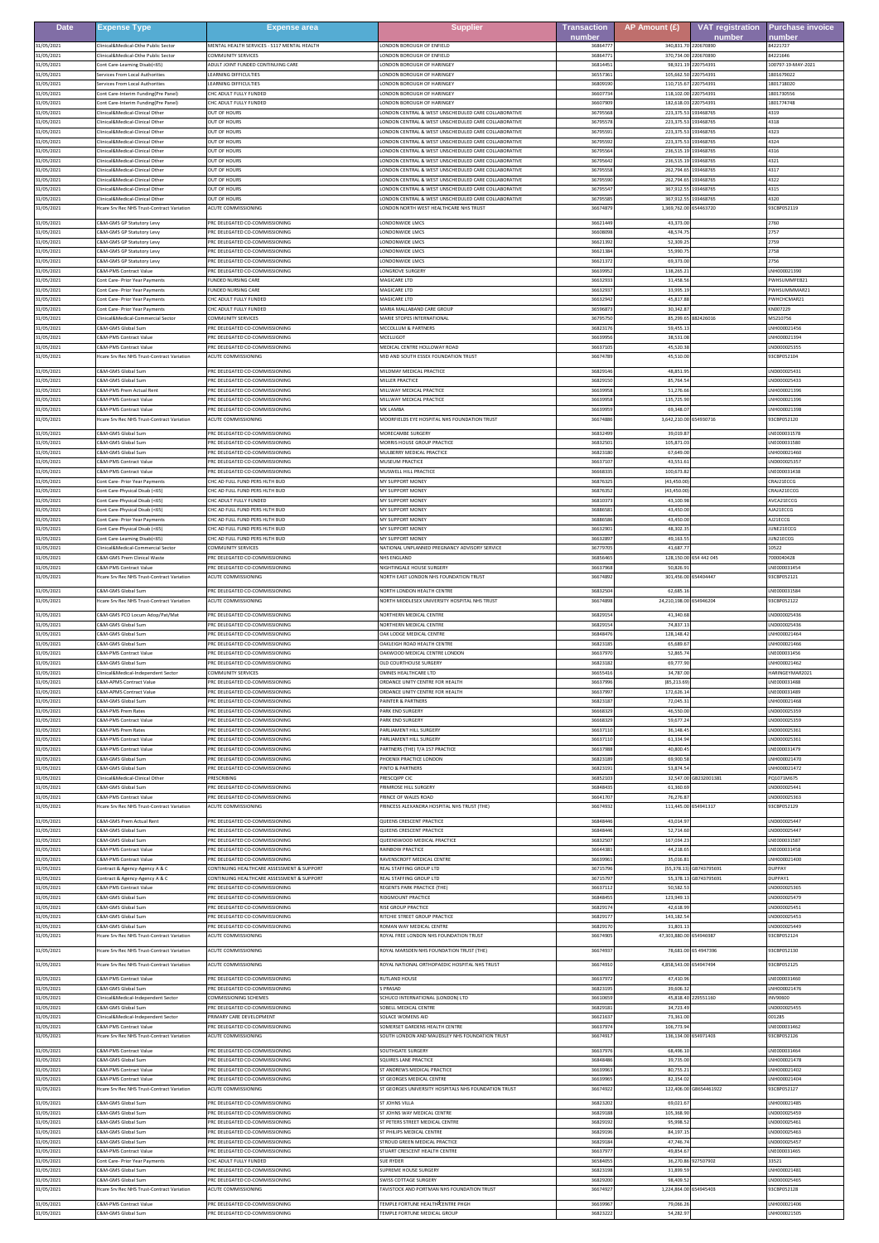| <b>Date</b>              | <b>Expense Type</b>                                                   | <b>Expense area</b>                                                     | <b>Supplier</b>                                                      | <b>Transaction</b> | AP Amount (£)           | <b>VAT registration</b> | <b>Purchase invoice</b>     |
|--------------------------|-----------------------------------------------------------------------|-------------------------------------------------------------------------|----------------------------------------------------------------------|--------------------|-------------------------|-------------------------|-----------------------------|
| 31/05/2021               | linical&Medical-Othe Public Sector                                    | MENTAL HEALTH SERVICES - S117 MENTAL HEALTH                             | ONDON BOROUGH OF ENFIELD                                             | number<br>3686477  | 340,831.70              | number<br>220670890     | number<br>84221727          |
| 31/05/2021               | linical&Medical-Othe Public Sector                                    | OMMUNITY SERVICES                                                       | ONDON BOROUGH OF ENFIELD                                             | 3686477            | 370.734.00 220670890    | 220754391               | 84221646                    |
| 31/05/2021               | ont Care-Learning Disab(<65)                                          | <b>DULT JOINT FUNDED CONTINUING CARE</b>                                | ONDON BOROUGH OF HARINGEY                                            | 3681445            | 98,921.19               |                         | 100797-19-MAY-2021          |
| 31/05/2021               | Services From Local Authorities                                       | EARNING DIFFICULTIES                                                    | ONDON BOROUGH OF HARINGEY                                            | 3655736            | 105,662.50              | 220754391               | 1801679022                  |
| 31/05/2021               | Services From Local Authorities                                       | <b>EARNING DIFFICULTIES</b>                                             | ONDON BOROUGH OF HARINGEY                                            | 3680919            | 110.715.67              | 220754391               | 1801718020                  |
| 31/05/2021               | ont Care-Interim Funding (Pre Panel)                                  | HC ADULT FULLY FUNDED                                                   | ONDON BOROUGH OF HARINGEY<br>ONDON BOROUGH OF HARINGEY               | 366077<br>3660790  | 118,102.00              | 220754391               | 1801730556                  |
| 31/05/2021<br>31/05/2021 | ont Care-Interim Funding(Pre Panel)<br>linical&Medical-Clinical Other | HC ADULT FULLY FUNDED<br><b>OUT OF HOURS</b>                            | ONDON CENTRAL & WEST UNSCHEDULED CARE COLLABORATIVE                  | 3679556            | 182,618.0<br>223.375.53 | 220754391<br>193468765  | 1801774748<br>4319          |
| 31/05/2021               | linical&Medical-Clinical Other                                        | <b>UT OF HOURS</b>                                                      | ONDON CENTRAL & WEST UNSCHEDULED CARE COLLABORATIVE                  | 367955             | 223.375.53              | 193468765               | 4318                        |
| 31/05/2021               | linical&Medical-Clinical Other                                        | <b>UT OF HOURS</b>                                                      | ONDON CENTRAL & WEST UNSCHEDULED CARE COLLABORATIVE                  | 3679559            | 223,375.5               | 93468765                | 4323                        |
| 31/05/2021               | linical&Medical-Clinical Other                                        | <b>OUT OF HOURS</b>                                                     | ONDON CENTRAL & WEST UNSCHEDULED CARE COLLABORATIVE                  | 3679559            | 223.375.53              | 193468765               | 4324                        |
| 31/05/2021               | linical&Medical-Clinical Other                                        | <b>OUT OF HOURS</b>                                                     | ONDON CENTRAL & WEST UNSCHEDULED CARE COLLABORATIVE                  | 367955             | 236,515.1               | 193468765               | 4316                        |
| 31/05/2021               | linical&Medical-Clinical Other                                        | <b>UT OF HOURS</b>                                                      | ONDON CENTRAL & WEST UNSCHEDULED CARE COLLABORATIVE                  | 3679564            | 236,515.1               | 193468765               | 4321                        |
| 31/05/2021               | linical&Medical-Clinical Other                                        | <b>OUT OF HOURS</b>                                                     | ONDON CENTRAL & WEST UNSCHEDULED CARE COLLABORATIVE                  | 3679555            | 262.794.65              | 193468765               | 4317                        |
| 31/05/2021               | Clinical&Medical-Clinical Other                                       | <b>OUT OF HOURS</b>                                                     | ONDON CENTRAL & WEST UNSCHEDULED CARE COLLABORATIVE                  | 367955             | 262,794.65              | 193468765               | 4322                        |
| 31/05/2021               | linical&Medical-Clinical Other                                        | <b>OF HOURS</b>                                                         | ONDON CENTRAL & WEST UNSCHEDULED CARE COLLABORATIVE                  | 367955             | 367,912.5               | 93468765                | 4315                        |
| 31/05/2021               | Clinical&Medical-Clinical Other                                       | <b>OUT OF HOURS</b>                                                     | ONDON CENTRAL & WEST UNSCHEDULED CARE COLLABORATIVE                  | 3679558            | 367.912.55              | 193468765               | 4320                        |
| 31/05/2021               | Icare Sry Rec NHS Trust-Contract Variation                            | <b>ACUTE COMMISSIONING</b>                                              | ONDON NORTH WEST HEALTHCARE NHS TRUST<br>ONDONWIDE LMCS              | 3667487            | 1,369,762.0             | 654463720               | 93CBP052119                 |
| 31/05/2021<br>31/05/2021 | C&M-GMS GP Statutory Levy<br>C&M-GMS GP Statutory Levy                | RC DELEGATED CO-COMMISSIONING<br>PRC DELEGATED CO-COMMISSIONING         | ONDONWIDE LMCS                                                       | 3662144<br>3660809 | 43,373.<br>48.574.      |                         | 2760<br>2757                |
| 31/05/2021               | C&M-GMS GP Statutory Levy                                             | RC DELEGATED CO-COMMISSIONING                                           | ONDONWIDE LMCS                                                       | 3662139            | 52,309.2                |                         | 2759                        |
| 31/05/2021               | <b>E&amp;M-GMS GP Statutory Levy</b>                                  | RC DELEGATED CO-COMMISSIONING                                           | ONDONWIDE LMCS                                                       | 3662138            | 55,990.                 |                         | 2758                        |
| 31/05/2021               | C&M-GMS GP Statutory Levy                                             | RC DELEGATED CO-COMMISSIONING                                           | ONDONWIDE LMCS                                                       | 3662137            | 69.373.0                |                         | !756                        |
| 31/05/2021               | <b>E&amp;M-PMS Contract Value</b>                                     | RC DELEGATED CO-COMMISSIONING                                           | ONGROVE SURGERY                                                      | 366399             | 138,265.                |                         | NH000021390                 |
| 31/05/2021               | ont Care- Prior Year Payments                                         | UNDED NURSING CARE                                                      | MAGICARE LTE                                                         | 366329             | 31,458.                 |                         | PWHSUMMFEB21                |
| 31/05/2021               | Cont Care- Prior Year Payments                                        | UNDED NURSING CARE                                                      | MAGICARE LTD                                                         | 3663293            | 33.995.1                |                         | PWHSUMMMAR21                |
| 31/05/2021               | ont Care- Prior Year Payments                                         | HC ADULT FULLY FUNDED                                                   | MAGICARE LTD                                                         | 3663294            | 45,817.8                |                         | WHCHCMAR21                  |
| 31/05/2021               | ont Care- Prior Year Payments                                         | HC ADULT FULLY FUNDED                                                   | MARIA MALLABAND CARE GROUP                                           | 3659687            | 30,342.8                | 882426016               | (NO07229                    |
| 31/05/2021               | Clinical&Medical-Commercial Sector                                    | <b>OMMUNITY SERVICES</b>                                                | MARIE STOPES INTERNATIONAL                                           | 3679575            | 85.299.65               |                         | MS210756                    |
| 31/05/2021               | <b>SM-GMS Global Sum</b>                                              | <b>RC DELEGATED CO-COMMISSIONING</b>                                    | MCCOLLUM & PARTNERS                                                  | 3682317            | 59,455.                 |                         | NH000021456                 |
| 31/05/2021               | S&M-PMS Contract Value                                                | RC DELEGATED CO-COMMISSIONING                                           | <b>MCELLIGO</b>                                                      | 366399             | 38,531.                 |                         | NH000021394                 |
| 31/05/2021               | C&M-PMS Contract Value<br>Icare Srv Rec NHS Trust-Contract Variation  | RC DELEGATED CO-COMMISSIONING<br><b>ACUTE COMMISSIONING</b>             | MEDICAL CENTRE HOLLOWAY ROAD<br>MID AND SOUTH ESSEX FOUNDATION TRUST | 366371<br>366747   | 45.520.<br>45,510.      |                         | ND000025355<br>93CBP052104  |
| 31/05/2021<br>31/05/2021 | <b>RM-GMS Global Sum</b>                                              | RC DELEGATED CO-COMMISSIONING                                           | MILDMAY MEDICAL PRACTICE                                             | 3682914            | 48,851.                 |                         | ND000025431                 |
| 31/05/2021               | &M-GMS Global Sum<br><b>E&amp;M-PMS Prem Actual Rent</b>              | RC DELEGATED CO-COMMISSIONING<br>RC DELEGATED CO-COMMISSIONING          | <b>MILLER PRACTICE</b><br>MILLWAY MEDICAL PRACTICE                   | 3682915<br>3663995 | 85.764.<br>51,276.      |                         | ND000025433<br>NH000021396  |
| 31/05/2021<br>31/05/2021 | <b>SM-PMS Contract Value</b>                                          | RC DELEGATED CO-COMMISSIONING                                           | MILLWAY MEDICAL PRACTICE                                             | 366399             | 135,725.                |                         | NH000021396                 |
| 31/05/2021               | C&M-PMS Contract Value                                                | <b>RC DELEGATED CO-COMMISSIONING</b>                                    | MK LAMBA                                                             | 3663995            | 69.348.0                | 654930716               | LNH000021398                |
| 31/05/2021               | Icare Srv Rec NHS Trust-Contract Variation                            | <b>CUTE COMMISSIONING</b>                                               | MOORFIELDS EYE HOSPITAL NHS FOUNDATION TRUST                         | 3667488            | 3,642,210.00            |                         | 93CBP052120                 |
| 31/05/2021               | <b>E&amp;M-GMS Global Sum</b>                                         | RC DELEGATED CO-COMMISSIONING                                           | MORECAMBE SURGERY                                                    | 3683249            | 39,019.8                |                         | NE000031578                 |
| 31/05/2021               | <b>SM-GMS Global Sum</b>                                              | RC DELEGATED CO-COMMISSIONING                                           | MORRIS HOUSE GROUP PRACTICE                                          | 3683250            | 105.871.                |                         | LNE000031580                |
| 31/05/2021               | C&M-GMS Global Sum                                                    | RC DELEGATED CO-COMMISSIONING                                           | <b>MULBERRY MEDICAL PRACTICE</b>                                     | 3682318            | 67,649.0                |                         | NH000021460                 |
| 31/05/2021               | C&M-PMS Contract Value                                                | RC DELEGATED CO-COMMISSIONING                                           | MUSEUM PRACTICE                                                      | 3663710            | 43,551.6                |                         | ND000025357                 |
| 31/05/2021               | C&M-PMS Contract Value                                                | PRC DELEGATED CO-COMMISSIONING                                          | MUSWELL HILL PRACTICE                                                | 3666833            | 100.673.8               |                         | LNE000031438                |
| 31/05/2021               | ont Care- Prior Year Payments                                         | HC AD FULL FUND PERS HLTH BUD                                           | <b>MY SUPPORT MONEY</b>                                              | 3687632            | (43, 450.0)             |                         | RAJ21ECCG                   |
| 31/05/2021               | ont Care-Physical Disab (<65)                                         | HC AD FULL FUND PERS HLTH BUD                                           | MY SUPPORT MONEY                                                     | 3687635            | (43, 450.0)             |                         | RAJA21ECCG                  |
| 31/05/2021               | ont Care-Physical Disab (<65)                                         | HC ADULT FULLY FUNDED                                                   | MY SUPPORT MONEY                                                     | 3681037            | 43,100.                 |                         | AVCA21ECCG                  |
| 31/05/2021               | ont Care-Physical Disab (<65)                                         | HC AD FULL FUND PERS HLTH BUD                                           | MY SUPPORT MONEY                                                     | 3688658            | 43,450.0                |                         | AJA21ECCC                   |
| 31/05/2021               | Cont Care- Prior Year Payments                                        | HC AD FULL FUND PERS HLTH BUD                                           | MY SUPPORT MONEY                                                     | 368865             | 43,450.                 |                         | AJ21ECCG                    |
| 31/05/2021               | ont Care-Physical Disab (<65)                                         | HC AD FULL FUND PERS HLTH BUD                                           | MY SUPPORT MONEY                                                     | 3663290            | 48.302.3                |                         | <b>UNE21ECCO</b>            |
| 31/05/2021               | ont Care-Learning Disab(<65)                                          | HC AD FULL FUND PERS HLTH BUD                                           | <b>MY SUPPORT MONEY</b>                                              | 366328             | 49.163.5                |                         | UN21ECCG                    |
| 31/05/2021               | linical&Medical-Commercial Sector                                     | OMMUNITY SERVICES                                                       | VATIONAL UNPLANNED PREGNANCY ADVISORY SERVICE                        | 3677970            | 41,687.7                | 654 442 045             | 0522                        |
| 31/05/2021               | <b>E&amp;M-GMS Prem Clinical Waste</b>                                | RC DELEGATED CO-COMMISSIONING                                           | NHS ENGLAND                                                          | 3685646            | 128.150.00              |                         | 000040428                   |
| 31/05/2021               | C&M-PMS Contract Value                                                | RC DELEGATED CO-COMMISSIONING                                           | <b>IIGHTINGALE HOUSE SURGERY</b>                                     | 3663796            | 50.826.9                |                         | NE000031454                 |
| 31/05/2021               | Icare Srv Rec NHS Trust-Contract Variation                            | <b>CUTE COMMISSIONIN</b>                                                | <b>IORTH EAST LONDON NHS FOUNDATION TRUST</b>                        | 3667489            | 301,456.00              | 654404447               | 93CBP052121                 |
| 31/05/2021               | C&M-GMS Global Sum                                                    | PRC DELEGATED CO-COMMISSIONING                                          | NORTH LONDON HEALTH CENTRE                                           | 3683250            | 62,685.1                |                         | LNE000031584                |
| 31/05/2021               | care Srv Rec NHS Trust-Contract Variation                             | CUTE COMMISSIONING                                                      | ORTH MIDDLESEX UNIVERSITY HOSPITAL NHS TRUST                         | 366748             | 24.210.198.0            | 554946204               | 3CBP052122                  |
| 31/05/2021               | C&M-GMS PCO Locum Adop/Pat/Mat<br>C&M-GMS Global Sum                  | PRC DELEGATED CO-COMMISSIONING<br><b>PRC DELEGATED CO-COMMISSIONING</b> | NORTHERN MEDICAL CENTRE<br><b>VORTHERN MEDICAL CENTRE</b>            | 3682915<br>3682915 | 41.340.6<br>74,837.     |                         | ND000025436<br>LND000025436 |
| 31/05/2021<br>31/05/2021 | <b>2&amp;M-GMS Global Sum</b>                                         | RC DELEGATED CO-COMMISSIONING                                           | <b>JAK LODGE MEDICAL CENTRE</b>                                      | 3684847            | 128,148.                |                         | NH000021464                 |
| 31/05/2021               | C&M-GMS Global Sum                                                    | PRC DELEGATED CO-COMMISSIONING                                          | <b>DAKLEIGH ROAD HEALTH CENTRE</b>                                   | 3682318            | 65,689.6                |                         | NH000021466                 |
| 31/05/2021               | <b>SM-PMS Contract Value</b>                                          | <b>RC DELEGATED CO-COMMISSIONING</b>                                    | AKWOOD MEDICAL CENTRE LONDON                                         | 366379             | 52.865.                 |                         | LNE000031456                |
| 31/05/2021               | <b>2&amp;M-GMS Global Sum</b>                                         | RC DELEGATED CO-COMMISSIONING                                           | <b>OLD COURTHOUSE SURGERY</b>                                        | 368231             | 69,777.                 |                         | NH000021462                 |
| 31/05/2021               | Clinical&Medical-Independent Sector                                   | <b>OMMUNITY SERVICES</b>                                                | OMNES HEALTHCARE LTD                                                 | 3665541            | 34,787.0                |                         | ARINGFYMAR2021              |
| 31/05/2021               | <b>SM-APMS Contract Value</b>                                         | RC DELEGATED CO-COMMISSIONING                                           | <b>DRDANCE UNITY CENTRE FOR HEALTH</b>                               | 3663799            | (85, 213.69)            |                         | NE000031488                 |
| 31/05/2021               | C&M-APMS Contract Value                                               | PRC DELEGATED CO-COMMISSIONING                                          | ORDANCE UNITY CENTRE FOR HEALTH                                      | 366379             | 172,626.1               |                         | NE000031489                 |
| 31/05/2021               | C&M-GMS Global Sum                                                    | PRC DELEGATED CO-COMMISSIONING                                          | AINTER & PARTNERS                                                    | 3682318            | 72,045.3                |                         | NH000021468                 |
| 31/05/2021               | C&M-PMS Prem Rates                                                    | PRC DELEGATED CO-COMMISSIONING                                          | PARK END SURGERY                                                     | 3666832            | 46,550.0                |                         | LND000025359                |
| 31/05/2021               | C&M-PMS Contract Value                                                | RC DELEGATED CO-COMMISSIONING                                           | ARK END SURGER                                                       | 3666832            | 59,677.2                |                         | ND000025359                 |
| 31/05/2021               | C&M-PMS Prem Rates                                                    | RC DELEGATED CO-COMMISSIONING                                           | ARLIAMENT HILL SURGERY                                               | 3663711            | 36,148.4                |                         | ND000025361                 |
| 31/05/2021               | <b>E&amp;M-PMS Contract Value</b>                                     | PRC DELEGATED CO-COMMISSIONING                                          | PARLIAMENT HILL SURGERY                                              | 3663711            | 61.334.9                |                         | LND000025361                |
| 31/05/2021               | C&M-PMS Contract Value                                                | PRC DELEGATED CO-COMMISSIONING                                          | ARTNERS (THE) T/A 157 PRACTICE                                       | 366379             | 40,800.                 |                         | NE000031479                 |
| 31/05/2021               | C&M-GMS Global Sum                                                    | RC DELEGATED CO-COMMISSIONING                                           | HOENIX PRACTICE LONDON                                               | 368231             | 69,900.5                |                         | NH000021470                 |
| 31/05/2021               | <b>C&amp;M-GMS Global Sum</b>                                         | PRC DELEGATED CO-COMMISSIONING                                          | PINTO & PARTNERS                                                     | 3682319            | 53.874.5                |                         | LNH000021472                |
| 31/05/2021               | inical&Medical-Clinical Other                                         | RESCRIBIN                                                               | RESCOIPP CIO                                                         | 368521             | 32,547.0                | GB232001381             | Q1071M675                   |
| 31/05/2021               | &M-GMS Global Sum                                                     | RC DELEGATED CO-COMMISSIONING                                           | RIMROSE HILL SURGERY                                                 | 3684843            | 61,360.6                |                         | ND000025441                 |
| 31/05/2021               | <b>E&amp;M-PMS Contract Value</b>                                     | PRC DELEGATED CO-COMMISSIONING                                          | <b>PRINCE OF WALES ROAD</b>                                          | 3664170            | 76.276.8                | 654941317               | ND000025363                 |
| 31/05/2021               | Hcare Srv Rec NHS Trust-Contract Variation                            | ACUTE COMMISSIONING                                                     | PRINCESS ALEXANDRA HOSPITAL NHS TRUST (THE)                          | 3667493            | 111,445.00              |                         | 93CBP052129                 |
| 31/05/2021               | C&M-GMS Prem Actual Rent                                              | PRC DELEGATED CO-COMMISSIONING                                          | QUEENS CRESCENT PRACTICE                                             | 3684844            | 43,014.9                |                         | LND000025447                |
| 31/05/2021               | C&M-GMS Global Sum                                                    | PRC DELEGATED CO-COMMISSIONING                                          | QUEENS CRESCENT PRACTICE                                             | 3684844            | 52,714.6                |                         | LND000025447                |
| 31/05/2021               | &M-GMS Global Sum                                                     | RC DELEGATED CO-COMMISSIONING                                           | QUEENSWOOD MEDICAL PRACTICE                                          | 368325             | 167,034.2               |                         | NE000031587                 |
| 31/05/2021               | S&M-PMS Contract Value                                                | RC DELEGATED CO-COMMISSIONING                                           | AINBOW PRACTICE                                                      | 3664438            | 44,218.6                |                         | NE000031458                 |
| 31/05/2021               | S&M-PMS Contract Value                                                | PRC DELEGATED CO-COMMISSIONING                                          | RAVENSCROFT MEDICAL CENTRE                                           | 3663996            | 35,016.8                |                         | NH000021400                 |
| 31/05/2021               | ontract & Agency-Agency A & C                                         | ONTINUING HEALTHCARE ASSESSMENT & SUPPORT                               | REAL STAFFING GROUP LTD                                              | 367157             | (55, 378.13)            | GB743795691             | DUPPAY                      |
| 31/05/2021               | Contract & Agency-Agency A & C                                        | CONTINUING HEALTHCARE ASSESSMENT & SUPPORT                              | REAL STAFFING GROUP LTD                                              | 3671579            | 55,378.13               | GB743795691             | DUPPAY1                     |
| 31/05/2021               | C&M-PMS Contract Value                                                | PRC DELEGATED CO-COMMISSIONING                                          | REGENTS PARK PRACTICE (THE)                                          | 3663711            | 50.582.5                |                         | LND000025365                |
| 31/05/2021               | C&M-GMS Global Sum                                                    | RC DELEGATED CO-COMMISSIONING                                           | <b>RIDGMOUNT PRACTICE</b>                                            | 368484             | 123,949.1               |                         | ND000025479                 |
| 31/05/2021               | C&M-GMS Global Sum                                                    | RC DELEGATED CO-COMMISSIONING                                           | RISE GROUP PRACTICE                                                  | 3682917            | 42,618.9                |                         | ND000025451                 |
| 31/05/2021               | C&M-GMS Global Sum                                                    | PRC DELEGATED CO-COMMISSIONING                                          | RITCHIE STREET GROUP PRACTICE                                        | 3682917            | 143,182.5               |                         | LND000025453                |
| 31/05/2021               | C&M-GMS Global Sum                                                    | PRC DELEGATED CO-COMMISSIONING                                          | ROMAN WAY MEDICAL CENTRE                                             | 368291             | 31,801.1                |                         | ND000025449                 |
| 31/05/2021               | Icare Srv Rec NHS Trust-Contract Variation                            | <b>ACUTE COMMISSIONING</b>                                              | ROYAL FREE LONDON NHS FOUNDATION TRUST                               | 3667490            | 47,303,880.00           | 654946987               | 93CBP052124                 |
| 31/05/2021               | Hcare Srv Rec NHS Trust-Contract Variation                            | ACUTE COMMISSIONING                                                     | ROYAL MARSDEN NHS FOUNDATION TRUST (THE)                             | 3667493            | 78,681.00               | 65 4947396              | 93CBP052130                 |
| 31/05/2021               | Hcare Srv Rec NHS Trust-Contract Variation                            | ACUTE COMMISSIONING                                                     | ROYAL NATIONAL ORTHOPAEDIC HOSPITAL NHS TRUST                        | 36674910           | 4,858,543.00            | 654947494               | 93CBP052125                 |
| 31/05/2021               | C&M-PMS Contract Value                                                | PRC DELEGATED CO-COMMISSIONING                                          | RUTLAND HOUSE                                                        | 3663797            | 47,410.9                |                         | LNE000031460                |
| 31/05/2021               | C&M-GMS Global Sun                                                    | PRC DELEGATED CO-COMMISSIONING                                          | <b>PRASAD</b>                                                        | 368231             | 39,606.                 | 229551160               | NH000021476                 |
| 31/05/2021               | Clinical&Medical-Independent Sector                                   | COMMISSIONING SCHEMES                                                   | SCHUCO INTERNATIONAL (LONDON) LTD                                    | 3661065            | 45,818.4                |                         | INV90600                    |
| 31/05/2021               | C&M-GMS Global Sum                                                    | PRC DELEGATED CO-COMMISSIONING                                          | SOBELL MEDICAL CENTRE                                                | 3682918            | 34.723.4                |                         | LND000025455                |
| 31/05/2021               | inical&Medical-Independent Sector                                     | RIMARY CARE DEVELOPMENT                                                 | OLACE WOMENS AID                                                     | 366216             | 73,361.0                |                         | 01285                       |
| 31/05/2021               | <b>E&amp;M-PMS Contract Value</b>                                     | RC DELEGATED CO-COMMISSIONING                                           | OMERSET GARDENS HEALTH CENTRE                                        | 3663797            | 106,773.9               |                         | NE000031462                 |
| 31/05/2021               | Icare Srv Rec NHS Trust-Contract Variation                            | <b>ACUTE COMMISSIONING</b>                                              | OUTH LONDON AND MAUDSLEY NHS FOUNDATION TRUST                        | 3667491            | 136,134.00 654971403    |                         | 93CBP052126                 |
| 31/05/2021               | C&M-PMS Contract Value                                                | PRC DELEGATED CO-COMMISSIONING                                          | <b>SOUTHGATE SURGERY</b>                                             | 366379             | 68,496.1                |                         | LNE000031464                |
| 31/05/2021               | C&M-GMS Global Sum                                                    | PRC DELEGATED CO-COMMISSIONING                                          | <b>SQUIRES LANE PRACTICE</b>                                         | 3684848            | 39.735.0                |                         | NH000021478                 |
| 31/05/2021               | C&M-PMS Contract Value                                                | PRC DELEGATED CO-COMMISSIONING                                          | ST ANDREWS MEDICAL PRACTICE                                          | 3663996            | 80,755.2                |                         | NH000021402                 |
| 31/05/2021               | &M-PMS Contract Value                                                 | RC DELEGATED CO-COMMISSIONING                                           | T GEORGES MEDICAL CENTRE                                             | 366399             | 82,354.                 |                         | NH000021404                 |
| 31/05/2021               | Icare Srv Rec NHS Trust-Contract Variation                            | CUTE COMMISSIONING                                                      | T GEORGES UNIVERSITY HOSPITALS NHS FOUNDATION TRUST                  | 3667492            | 122,406.00              | GB654461922             | 3CBP052127                  |
| 31/05/2021               | C&M-GMS Global Sum                                                    | PRC DELEGATED CO-COMMISSIONING                                          | ST JOHNS VILLA                                                       | 3682320            | 69,021.6                |                         | NH000021485                 |
| 31/05/2021               | C&M-GMS Global Sum                                                    | RC DELEGATED CO-COMMISSIONING                                           | ST JOHNS WAY MEDICAL CENTRE                                          | 368291             | 105.368.                |                         | ND000025459                 |
| 31/05/2021               | C&M-GMS Global Sum                                                    | PRC DELEGATED CO-COMMISSIONING                                          | ST PETERS STREET MEDICAL CENTRE                                      | 368291             | 95.998.5                |                         | ND000025461                 |
| 31/05/2021               | C&M-GMS Global Sum                                                    | RC DELEGATED CO-COMMISSIONING                                           | ST PHILIPS MEDICAL CENTRE                                            | 3682919            | 84,197.1                |                         | ND000025463                 |
| 31/05/2021<br>31/05/2021 | &M-GMS Global Sum<br>C&M-PMS Contract Value                           | RC DELEGATED CO-COMMISSIONING                                           | TROUD GREEN MEDICAL PRACTICE<br>STUART CRESCENT HEALTH CENTRE        | 368291<br>3663797  | 47,746.<br>49.854.6     |                         | ND000025457                 |
| 31/05/2021               | Cont Care- Prior Year Payments                                        | PRC DELEGATED CO-COMMISSIONING<br>HC ADULT FULLY FUNDED                 | <b>SUE RYDER</b>                                                     | 3658405            |                         | 36,270.86 927507902     | LNE000031465<br>33521       |
| 31/05/2021               | C&M-GMS Global Sum                                                    | PRC DELEGATED CO-COMMISSIONING                                          | <b>SUPREME HOUSE SURGERY</b>                                         | 368231             | 31,899.                 |                         | NH000021481                 |
| 31/05/2021               | C&M-GMS Global Sum                                                    | PRC DELEGATED CO-COMMISSIONING                                          | SWISS COTTAGE SURGERY                                                | 3682920            | 98.409.                 |                         | LND000025465                |
| 31/05/2021               | Hcare Srv Rec NHS Trust-Contract Variation                            | ACUTE COMMISSIONING                                                     | TAVISTOCK AND PORTMAN NHS FOUNDATION TRUST                           | 3667492            | 1,224,864.00 654945403  |                         | 93CBP052128                 |
| 31/05/2021               | C&M-PMS Contract Value                                                | PRC DELEGATED CO-COMMISSIONING                                          | TEMPLE FORTUNE HEALTHCEENTRE PHGH                                    | 3663996            | 79,066.2                |                         | NH000021406                 |
| 31/05/2021               | C&M-GMS Global Sum                                                    | PRC DELEGATED CO-COMMISSIONING                                          | TEMPLE FORTUNE MEDICAL GROUP                                         | 36823222           | 54,282.9                |                         | LNH000021505                |